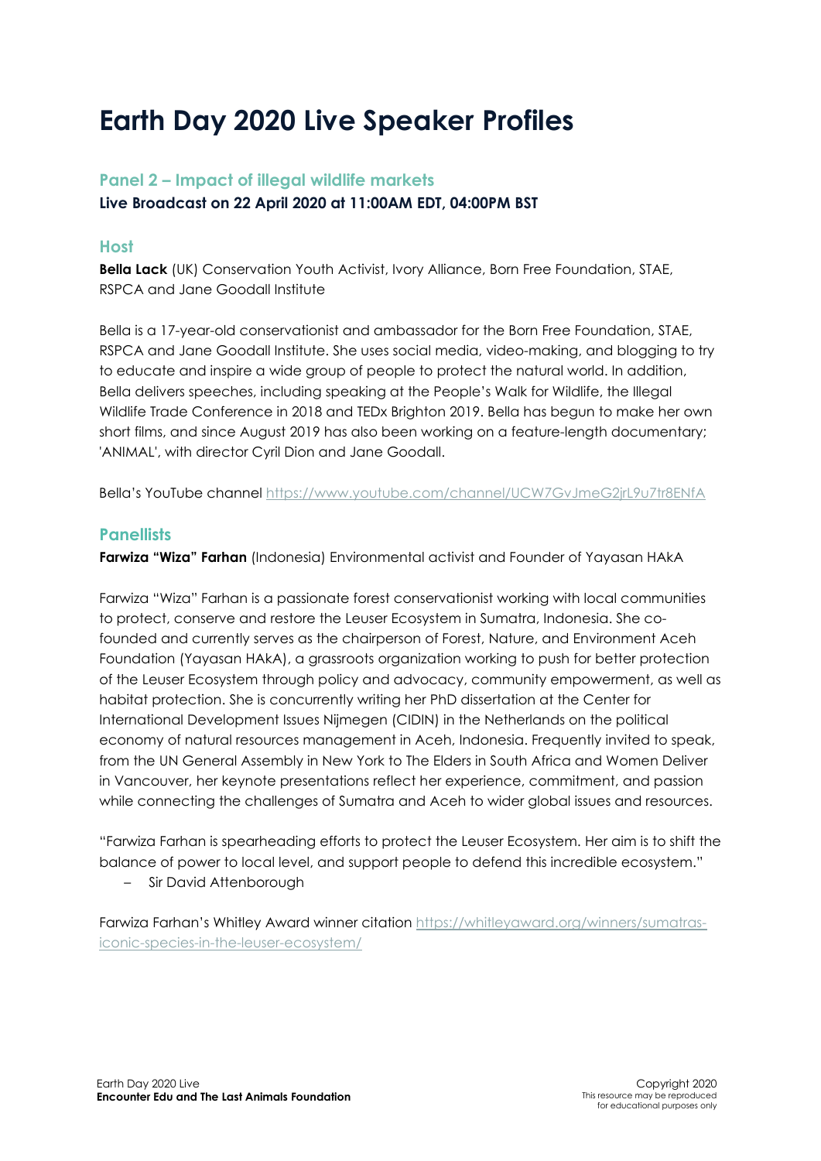## **Earth Day 2020 Live Speaker Profiles**

## **Panel 2 – Impact of illegal wildlife markets Live Broadcast on 22 April 2020 at 11:00AM EDT, 04:00PM BST**

## **Host**

**Bella Lack** (UK) Conservation Youth Activist, Ivory Alliance, Born Free Foundation, STAE, RSPCA and Jane Goodall Institute

Bella is a 17-year-old conservationist and ambassador for the Born Free Foundation, STAE, RSPCA and Jane Goodall Institute. She uses social media, video-making, and blogging to try to educate and inspire a wide group of people to protect the natural world. In addition, Bella delivers speeches, including speaking at the People's Walk for Wildlife, the Illegal Wildlife Trade Conference in 2018 and TEDx Brighton 2019. Bella has begun to make her own short films, and since August 2019 has also been working on a feature-length documentary; 'ANIMAL', with director Cyril Dion and Jane Goodall.

Bella's YouTube channel<https://www.youtube.com/channel/UCW7GvJmeG2jrL9u7tr8ENfA>

## **Panellists**

**Farwiza "Wiza" Farhan** (Indonesia) Environmental activist and Founder of Yayasan HAkA

Farwiza "Wiza" Farhan is a passionate forest conservationist working with local communities to protect, conserve and restore the Leuser Ecosystem in Sumatra, Indonesia. She cofounded and currently serves as the chairperson of Forest, Nature, and Environment Aceh Foundation (Yayasan HAkA), a grassroots organization working to push for better protection of the Leuser Ecosystem through policy and advocacy, community empowerment, as well as habitat protection. She is concurrently writing her PhD dissertation at the Center for International Development Issues Nijmegen (CIDIN) in the Netherlands on the political economy of natural resources management in Aceh, Indonesia. Frequently invited to speak, from the UN General Assembly in New York to The Elders in South Africa and Women Deliver in Vancouver, her keynote presentations reflect her experience, commitment, and passion while connecting the challenges of Sumatra and Aceh to wider global issues and resources.

"Farwiza Farhan is spearheading efforts to protect the Leuser Ecosystem. Her aim is to shift the balance of power to local level, and support people to defend this incredible ecosystem."

– Sir David Attenborough

Farwiza Farhan's Whitley Award winner citation [https://whitleyaward.org/winners/sumatras](https://whitleyaward.org/winners/sumatras-iconic-species-in-the-leuser-ecosystem/)[iconic-species-in-the-leuser-ecosystem/](https://whitleyaward.org/winners/sumatras-iconic-species-in-the-leuser-ecosystem/)